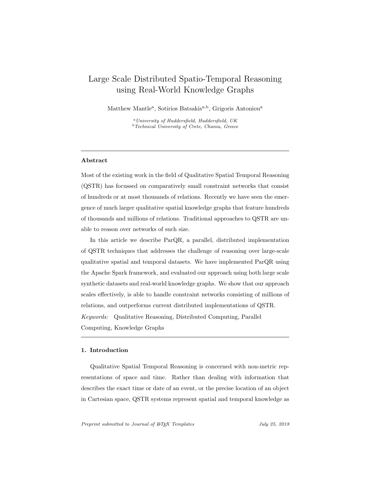# Large Scale Distributed Spatio-Temporal Reasoning using Real-World Knowledge Graphs

Matthew Mantle<sup>a</sup>, Sotirios Batsakis<sup>a,b</sup>, Grigoris Antoniou<sup>a</sup>

<sup>a</sup>University of Huddersfield, Huddersfield, UK  $b$  Technical University of Crete, Chania, Greece

### Abstract

Most of the existing work in the field of Qualitative Spatial Temporal Reasoning (QSTR) has focussed on comparatively small constraint networks that consist of hundreds or at most thousands of relations. Recently we have seen the emergence of much larger qualitative spatial knowledge graphs that feature hundreds of thousands and millions of relations. Traditional approaches to QSTR are unable to reason over networks of such size.

In this article we describe ParQR, a parallel, distributed implementation of QSTR techniques that addresses the challenge of reasoning over large-scale qualitative spatial and temporal datasets. We have implemented ParQR using the Apache Spark framework, and evaluated our approach using both large scale synthetic datasets and real-world knowledge graphs. We show that our approach scales effectively, is able to handle constraint networks consisting of millions of relations, and outperforms current distributed implementations of QSTR. Keywords: Qualitative Reasoning, Distributed Computing, Parallel Computing, Knowledge Graphs

## 1. Introduction

Qualitative Spatial Temporal Reasoning is concerned with non-metric representations of space and time. Rather than dealing with information that describes the exact time or date of an event, or the precise location of an object in Cartesian space, QSTR systems represent spatial and temporal knowledge as

Preprint submitted to Journal of LATEX Templates  $July\ 25, 2018$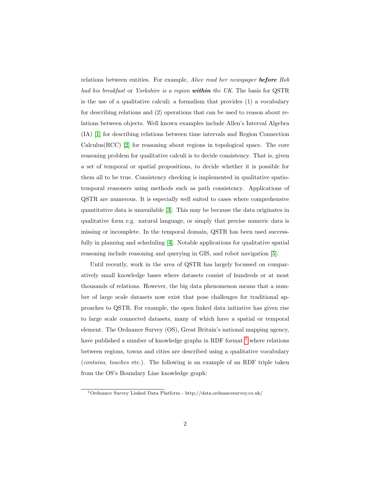relations between entities. For example, Alice read her newspaper before Bob had his breakfast or Yorkshire is a region within the UK. The basis for QSTR is the use of a qualitative calculi; a formalism that provides (1) a vocabulary for describing relations and (2) operations that can be used to reason about relations between objects. Well known examples include Allen's Interval Algebra (IA) [\[1\]](#page-34-0) for describing relations between time intervals and Region Connection  $Calculus(RCC)$  [\[2\]](#page-34-1) for reasoning about regions in topological space. The core reasoning problem for qualitative calculi is to decide consistency. That is, given a set of temporal or spatial propositions, to decide whether it is possible for them all to be true. Consistency checking is implemented in qualitative spatiotemporal reasoners using methods such as path consistency. Applications of QSTR are numerous. It is especially well suited to cases where comprehensive quantitative data is unavailable [\[3\]](#page-34-2). This may be because the data originates in qualitative form e.g. natural language, or simply that precise numeric data is missing or incomplete. In the temporal domain, QSTR has been used successfully in planning and scheduling [\[4\]](#page-34-3). Notable applications for qualitative spatial reasoning include reasoning and querying in GIS, and robot navigation [\[5\]](#page-34-4).

Until recently, work in the area of QSTR has largely focussed on comparatively small knowledge bases where datasets consist of hundreds or at most thousands of relations. However, the big data phenomenon means that a number of large scale datasets now exist that pose challenges for traditional approaches to QSTR. For example, the open linked data initiative has given rise to large scale connected datasets, many of which have a spatial or temporal element. The Ordnance Survey (OS), Great Britain's national mapping agency, have published a number of knowledge graphs in RDF format  $1$  where relations between regions, towns and cities are described using a qualitative vocabulary (contains, touches etc.). The following is an example of an RDF triple taken from the OS's Boundary Line knowledge graph:

<span id="page-1-0"></span><sup>1</sup>Ordnance Survey Linked Data Platform - http://data.ordnancesurvey.co.uk/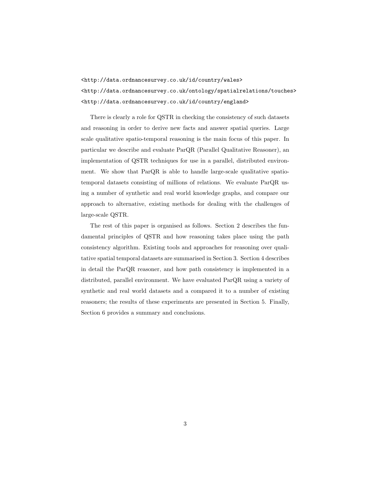<http://data.ordnancesurvey.co.uk/id/country/wales> <http://data.ordnancesurvey.co.uk/ontology/spatialrelations/touches> <http://data.ordnancesurvey.co.uk/id/country/england>

There is clearly a role for QSTR in checking the consistency of such datasets and reasoning in order to derive new facts and answer spatial queries. Large scale qualitative spatio-temporal reasoning is the main focus of this paper. In particular we describe and evaluate ParQR (Parallel Qualitative Reasoner), an implementation of QSTR techniques for use in a parallel, distributed environment. We show that ParQR is able to handle large-scale qualitative spatiotemporal datasets consisting of millions of relations. We evaluate ParQR using a number of synthetic and real world knowledge graphs, and compare our approach to alternative, existing methods for dealing with the challenges of large-scale QSTR.

The rest of this paper is organised as follows. Section 2 describes the fundamental principles of QSTR and how reasoning takes place using the path consistency algorithm. Existing tools and approaches for reasoning over qualitative spatial temporal datasets are summarised in Section 3. Section 4 describes in detail the ParQR reasoner, and how path consistency is implemented in a distributed, parallel environment. We have evaluated ParQR using a variety of synthetic and real world datasets and a compared it to a number of existing reasoners; the results of these experiments are presented in Section 5. Finally, Section 6 provides a summary and conclusions.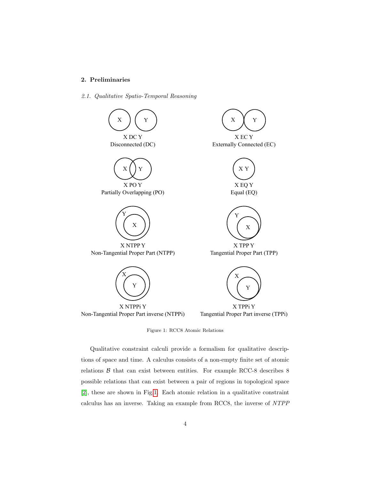## 2. Preliminaries

2.1. Qualitative Spatio-Temporal Reasoning



<span id="page-3-0"></span>Figure 1: RCC8 Atomic Relations

Qualitative constraint calculi provide a formalism for qualitative descriptions of space and time. A calculus consists of a non-empty finite set of atomic relations  $\beta$  that can exist between entities. For example RCC-8 describes 8 possible relations that can exist between a pair of regions in topological space [\[2\]](#page-34-1), these are shown in Fig[.1.](#page-3-0) Each atomic relation in a qualitative constraint calculus has an inverse. Taking an example from RCC8, the inverse of NTPP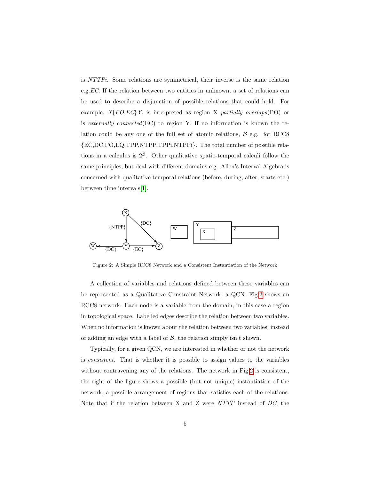is NTTPi. Some relations are symmetrical, their inverse is the same relation e.g.EC. If the relation between two entities in unknown, a set of relations can be used to describe a disjunction of possible relations that could hold. For example,  $X\{PO,EC\}Y$ , is interpreted as region X partially overlaps(PO) or is externally connected( $EC$ ) to region Y. If no information is known the relation could be any one of the full set of atomic relations,  $\beta$  e.g. for RCC8 {EC,DC,PO,EQ,TPP,NTPP,TPPi,NTPPi}. The total number of possible relations in a calculus is  $2^{\beta}$ . Other qualitative spatio-temporal calculi follow the same principles, but deal with different domains e.g. Allen's Interval Algebra is concerned with qualitative temporal relations (before, during, after, starts etc.) between time intervals[\[1\]](#page-34-0).



<span id="page-4-0"></span>Figure 2: A Simple RCC8 Network and a Consistent Instantiation of the Network

A collection of variables and relations defined between these variables can be represented as a Qualitative Constraint Network, a QCN. Fig[.2](#page-4-0) shows an RCC8 network. Each node is a variable from the domain, in this case a region in topological space. Labelled edges describe the relation between two variables. When no information is known about the relation between two variables, instead of adding an edge with a label of  $\mathcal{B}$ , the relation simply isn't shown.

Typically, for a given QCN, we are interested in whether or not the network is consistent. That is whether it is possible to assign values to the variables without contravening any of the relations. The network in Fig[.2](#page-4-0) is consistent, the right of the figure shows a possible (but not unique) instantiation of the network, a possible arrangement of regions that satisfies each of the relations. Note that if the relation between X and Z were NTTP instead of DC, the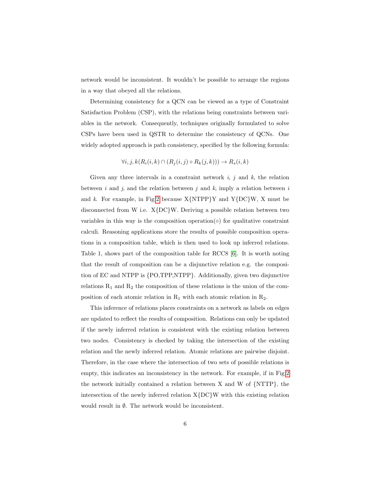network would be inconsistent. It wouldn't be possible to arrange the regions in a way that obeyed all the relations.

Determining consistency for a QCN can be viewed as a type of Constraint Satisfaction Problem (CSP), with the relations being constraints between variables in the network. Consequently, techniques originally formulated to solve CSPs have been used in QSTR to determine the consistency of QCNs. One widely adopted approach is path consistency, specified by the following formula:

$$
\forall i, j, k (R_i(i, k) \cap (R_j(i, j) \circ R_k(j, k))) \rightarrow R_s(i, k)
$$

Given any three intervals in a constraint network  $i, j$  and  $k$ , the relation between i and j, and the relation between j and k, imply a relation between i and k. For example, in Fig[.2](#page-4-0) because  $X\{NTPP\}Y$  and  $Y\{DC\}W$ , X must be disconnected from W i.e. X{DC}W. Deriving a possible relation between two variables in this way is the composition operation( $\circ$ ) for qualitative constraint calculi. Reasoning applications store the results of possible composition operations in a composition table, which is then used to look up inferred relations. Table 1, shows part of the composition table for RCC8 [\[6\]](#page-35-0). It is worth noting that the result of composition can be a disjunctive relation e.g. the composition of EC and NTPP is {PO,TPP,NTPP}. Additionally, given two disjunctive relations  $R_1$  and  $R_2$  the composition of these relations is the union of the composition of each atomic relation in  $R_1$  with each atomic relation in  $R_2$ .

This inference of relations places constraints on a network as labels on edges are updated to reflect the results of composition. Relations can only be updated if the newly inferred relation is consistent with the existing relation between two nodes. Consistency is checked by taking the intersection of the existing relation and the newly inferred relation. Atomic relations are pairwise disjoint. Therefore, in the case where the intersection of two sets of possible relations is empty, this indicates an inconsistency in the network. For example, if in Fig[.2](#page-4-0) the network initially contained a relation between X and W of {NTTP}, the intersection of the newly inferred relation  $X{DC}W$  with this existing relation would result in  $\emptyset$ . The network would be inconsistent.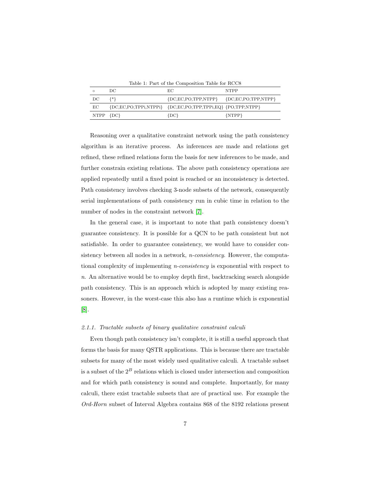|  | Table 1: Part of the Composition Table for RCC8 |  |  |
|--|-------------------------------------------------|--|--|
|  |                                                 |  |  |

|           | DC.     | EС                                                                          | <b>NTPP</b> |
|-----------|---------|-----------------------------------------------------------------------------|-------------|
| DC        | $\{*\}$ | ${DC, EC, PO, TPP, NTPP}$ ${DC, EC, PO, TPP, NTPP}$                         |             |
| EC        |         | ${DC, EC, PO, TPPi, NTPPi}$ ${DC, EC, PO, TPP, TPPi, EQ}$ ${PO, TPP, NTPP}$ |             |
| NTPP {DC} |         | ${D}C$                                                                      | $\{NTPP\}$  |

Reasoning over a qualitative constraint network using the path consistency algorithm is an iterative process. As inferences are made and relations get refined, these refined relations form the basis for new inferences to be made, and further constrain existing relations. The above path consistency operations are applied repeatedly until a fixed point is reached or an inconsistency is detected. Path consistency involves checking 3-node subsets of the network, consequently serial implementations of path consistency run in cubic time in relation to the number of nodes in the constraint network [\[7\]](#page-35-1).

In the general case, it is important to note that path consistency doesn't guarantee consistency. It is possible for a QCN to be path consistent but not satisfiable. In order to guarantee consistency, we would have to consider consistency between all nodes in a network, n-consistency. However, the computational complexity of implementing n-consistency is exponential with respect to  $n.$  An alternative would be to employ depth first, backtracking search alongside path consistency. This is an approach which is adopted by many existing reasoners. However, in the worst-case this also has a runtime which is exponential [\[8\]](#page-35-2).

#### 2.1.1. Tractable subsets of binary qualitative constraint calculi

Even though path consistency isn't complete, it is still a useful approach that forms the basis for many QSTR applications. This is because there are tractable subsets for many of the most widely used qualitative calculi. A tractable subset is a subset of the  $2^B$  relations which is closed under intersection and composition and for which path consistency is sound and complete. Importantly, for many calculi, there exist tractable subsets that are of practical use. For example the Ord-Horn subset of Interval Algebra contains 868 of the 8192 relations present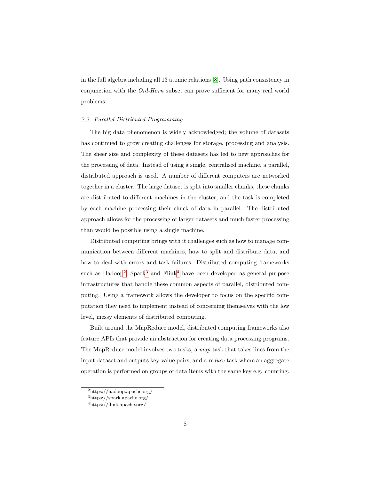in the full algebra including all 13 atomic relations [\[8\]](#page-35-2). Using path consistency in conjunction with the Ord-Horn subset can prove sufficient for many real world problems.

### 2.2. Parallel Distributed Programming

The big data phenomenon is widely acknowledged; the volume of datasets has continued to grow creating challenges for storage, processing and analysis. The sheer size and complexity of these datasets has led to new approaches for the processing of data. Instead of using a single, centralised machine, a parallel, distributed approach is used. A number of different computers are networked together in a cluster. The large dataset is split into smaller chunks, these chunks are distributed to different machines in the cluster, and the task is completed by each machine processing their chuck of data in parallel. The distributed approach allows for the processing of larger datasets and much faster processing than would be possible using a single machine.

Distributed computing brings with it challenges such as how to manage communication between different machines, how to split and distribute data, and how to deal with errors and task failures. Distributed computing frameworks such as Hadoop<sup>[2](#page-7-0)</sup>, Spark<sup>[3](#page-7-1)</sup> and Flink<sup>[4](#page-7-2)</sup> have been developed as general purpose infrastructures that handle these common aspects of parallel, distributed computing. Using a framework allows the developer to focus on the specific computation they need to implement instead of concerning themselves with the low level, messy elements of distributed computing.

Built around the MapReduce model, distributed computing frameworks also feature APIs that provide an abstraction for creating data processing programs. The MapReduce model involves two tasks, a map task that takes lines from the input dataset and outputs key-value pairs, and a reduce task where an aggregate operation is performed on groups of data items with the same key e.g. counting.

<span id="page-7-1"></span><span id="page-7-0"></span><sup>2</sup>https://hadoop.apache.org/

<span id="page-7-2"></span><sup>3</sup>https://spark.apache.org/

<sup>4</sup>https://flink.apache.org/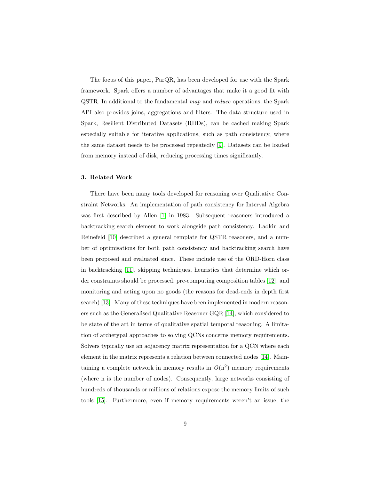The focus of this paper, ParQR, has been developed for use with the Spark framework. Spark offers a number of advantages that make it a good fit with QSTR. In additional to the fundamental map and reduce operations, the Spark API also provides joins, aggregations and filters. The data structure used in Spark, Resilient Distributed Datasets (RDDs), can be cached making Spark especially suitable for iterative applications, such as path consistency, where the same dataset needs to be processed repeatedly [\[9\]](#page-35-3). Datasets can be loaded from memory instead of disk, reducing processing times significantly.

## <span id="page-8-0"></span>3. Related Work

There have been many tools developed for reasoning over Qualitative Constraint Networks. An implementation of path consistency for Interval Algebra was first described by Allen [\[1\]](#page-34-0) in 1983. Subsequent reasoners introduced a backtracking search element to work alongside path consistency. Ladkin and Reinefeld [\[10\]](#page-35-4) described a general template for QSTR reasoners, and a number of optimisations for both path consistency and backtracking search have been proposed and evaluated since. These include use of the ORD-Horn class in backtracking [\[11\]](#page-35-5), skipping techniques, heuristics that determine which order constraints should be processed, pre-computing composition tables [\[12\]](#page-35-6), and monitoring and acting upon no goods (the reasons for dead-ends in depth first search) [\[13\]](#page-35-7). Many of these techniques have been implemented in modern reasoners such as the Generalised Qualitative Reasoner GQR [\[14\]](#page-36-0), which considered to be state of the art in terms of qualitative spatial temporal reasoning. A limitation of archetypal approaches to solving QCNs concerns memory requirements. Solvers typically use an adjacency matrix representation for a QCN where each element in the matrix represents a relation between connected nodes [\[14\]](#page-36-0). Maintaining a complete network in memory results in  $O(n^2)$  memory requirements (where n is the number of nodes). Consequently, large networks consisting of hundreds of thousands or millions of relations expose the memory limits of such tools [\[15\]](#page-36-1). Furthermore, even if memory requirements weren't an issue, the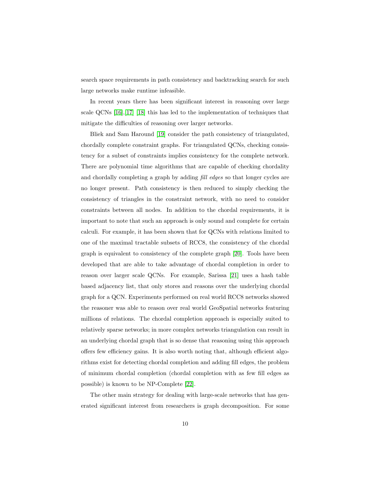search space requirements in path consistency and backtracking search for such large networks make runtime infeasible.

In recent years there has been significant interest in reasoning over large scale QCNs [\[16\]](#page-36-2),[\[17\]](#page-36-3) [\[18\]](#page-36-4) this has led to the implementation of techniques that mitigate the difficulties of reasoning over larger networks.

Bliek and Sam Haround [\[19\]](#page-36-5) consider the path consistency of triangulated, chordally complete constraint graphs. For triangulated QCNs, checking consistency for a subset of constraints implies consistency for the complete network. There are polynomial time algorithms that are capable of checking chordality and chordally completing a graph by adding fill edges so that longer cycles are no longer present. Path consistency is then reduced to simply checking the consistency of triangles in the constraint network, with no need to consider constraints between all nodes. In addition to the chordal requirements, it is important to note that such an approach is only sound and complete for certain calculi. For example, it has been shown that for QCNs with relations limited to one of the maximal tractable subsets of RCC8, the consistency of the chordal graph is equivalent to consistency of the complete graph [\[20\]](#page-37-0). Tools have been developed that are able to take advantage of chordal completion in order to reason over larger scale QCNs. For example, Sarissa [\[21\]](#page-37-1) uses a hash table based adjacency list, that only stores and reasons over the underlying chordal graph for a QCN. Experiments performed on real world RCC8 networks showed the reasoner was able to reason over real world GeoSpatial networks featuring millions of relations. The chordal completion approach is especially suited to relatively sparse networks; in more complex networks triangulation can result in an underlying chordal graph that is so dense that reasoning using this approach offers few efficiency gains. It is also worth noting that, although efficient algorithms exist for detecting chordal completion and adding fill edges, the problem of minimum chordal completion (chordal completion with as few fill edges as possible) is known to be NP-Complete [\[22\]](#page-37-2).

The other main strategy for dealing with large-scale networks that has generated significant interest from researchers is graph decomposition. For some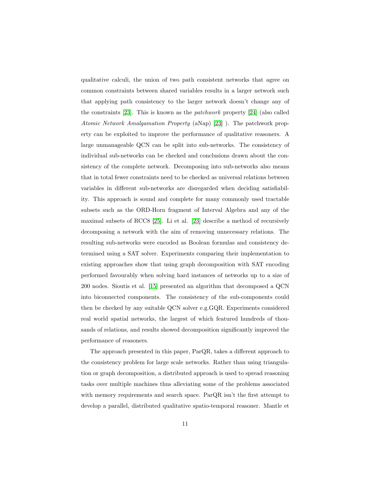qualitative calculi, the union of two path consistent networks that agree on common constraints between shared variables results in a larger network such that applying path consistency to the larger network doesn't change any of the constraints [\[23\]](#page-37-3). This is known as the patchwork property [\[24\]](#page-37-4) (also called Atomic Network Amalgamation Property (aNap) [\[23\]](#page-37-3) ). The patchwork property can be exploited to improve the performance of qualitative reasoners. A large unmanageable QCN can be split into sub-networks. The consistency of individual sub-networks can be checked and conclusions drawn about the consistency of the complete network. Decomposing into sub-networks also means that in total fewer constraints need to be checked as universal relations between variables in different sub-networks are disregarded when deciding satisfiability. This approach is sound and complete for many commonly used tractable subsets such as the ORD-Horn fragment of Interval Algebra and any of the maximal subsets of RCC8 [\[25\]](#page-37-5). Li et al. [\[23\]](#page-37-3) describe a method of recursively decomposing a network with the aim of removing unnecessary relations. The resulting sub-networks were encoded as Boolean formulas and consistency determined using a SAT solver. Experiments comparing their implementation to existing approaches show that using graph decomposition with SAT encoding performed favourably when solving hard instances of networks up to a size of 200 nodes. Sioutis et al. [\[15\]](#page-36-1) presented an algorithm that decomposed a QCN into biconnected components. The consistency of the sub-components could then be checked by any suitable QCN solver e.g.GQR. Experiments considered real world spatial networks, the largest of which featured hundreds of thousands of relations, and results showed decomposition significantly improved the performance of reasoners.

The approach presented in this paper, ParQR, takes a different approach to the consistency problem for large scale networks. Rather than using triangulation or graph decomposition, a distributed approach is used to spread reasoning tasks over multiple machines thus alleviating some of the problems associated with memory requirements and search space. ParQR isn't the first attempt to develop a parallel, distributed qualitative spatio-temporal reasoner. Mantle et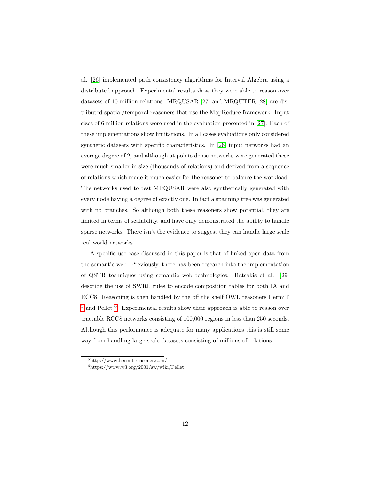al. [\[26\]](#page-37-6) implemented path consistency algorithms for Interval Algebra using a distributed approach. Experimental results show they were able to reason over datasets of 10 million relations. MRQUSAR [\[27\]](#page-38-0) and MRQUTER [\[28\]](#page-38-1) are distributed spatial/temporal reasoners that use the MapReduce framework. Input sizes of 6 million relations were used in the evaluation presented in [\[27\]](#page-38-0). Each of these implementations show limitations. In all cases evaluations only considered synthetic datasets with specific characteristics. In [\[26\]](#page-37-6) input networks had an average degree of 2, and although at points dense networks were generated these were much smaller in size (thousands of relations) and derived from a sequence of relations which made it much easier for the reasoner to balance the workload. The networks used to test MRQUSAR were also synthetically generated with every node having a degree of exactly one. In fact a spanning tree was generated with no branches. So although both these reasoners show potential, they are limited in terms of scalability, and have only demonstrated the ability to handle sparse networks. There isn't the evidence to suggest they can handle large scale real world networks.

A specific use case discussed in this paper is that of linked open data from the semantic web. Previously, there has been research into the implementation of QSTR techniques using semantic web technologies. Batsakis et al. [\[29\]](#page-38-2) describe the use of SWRL rules to encode composition tables for both IA and RCC8. Reasoning is then handled by the off the shelf OWL reasoners HermiT <sup>[5](#page-11-0)</sup> and Pellet <sup>[6](#page-11-1)</sup>. Experimental results show their approach is able to reason over tractable RCC8 networks consisting of 100,000 regions in less than 250 seconds. Although this performance is adequate for many applications this is still some way from handling large-scale datasets consisting of millions of relations.

<span id="page-11-1"></span><span id="page-11-0"></span><sup>5</sup>http://www.hermit-reasoner.com/

 $6$ https://www.w3.org/2001/sw/wiki/Pellet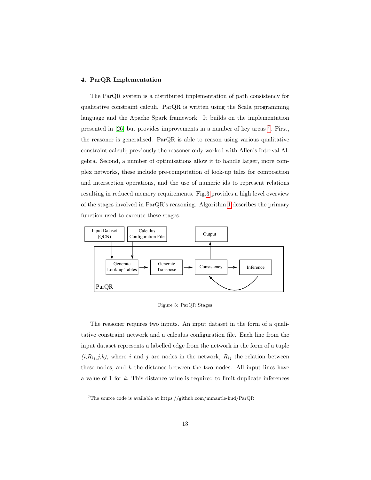## 4. ParQR Implementation

The ParQR system is a distributed implementation of path consistency for qualitative constraint calculi. ParQR is written using the Scala programming language and the Apache Spark framework. It builds on the implementation presented in [\[26\]](#page-37-6) but provides improvements in a number of key areas <sup>[7](#page-12-0)</sup>. First, the reasoner is generalised. ParQR is able to reason using various qualitative constraint calculi; previously the reasoner only worked with Allen's Interval Algebra. Second, a number of optimisations allow it to handle larger, more complex networks, these include pre-computation of look-up tales for composition and intersection operations, and the use of numeric ids to represent relations resulting in reduced memory requirements. Fig[.3](#page-12-1) provides a high level overview of the stages involved in ParQR's reasoning. Algorithm [1](#page-13-0) describes the primary function used to execute these stages.



<span id="page-12-1"></span>Figure 3: ParQR Stages

The reasoner requires two inputs. An input dataset in the form of a qualitative constraint network and a calculus configuration file. Each line from the input dataset represents a labelled edge from the network in the form of a tuple  $(i, R_{ij}, j, k)$ , where i and j are nodes in the network,  $R_{ij}$  the relation between these nodes, and  $k$  the distance between the two nodes. All input lines have a value of 1 for k. This distance value is required to limit duplicate inferences

<span id="page-12-0"></span><sup>7</sup>The source code is available at https://github.com/mmantle-hud/ParQR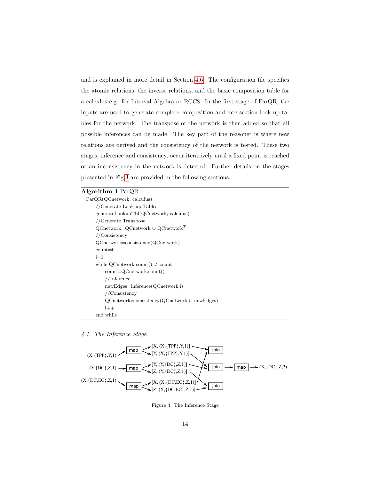and is explained in more detail in Section [4.6.](#page-19-0) The configuration file specifies the atomic relations, the inverse relations, and the basic composition table for a calculus e.g. for Interval Algebra or RCC8. In the first stage of ParQR, the inputs are used to generate complete composition and intersection look-up tables for the network. The transpose of the network is then added so that all possible inferences can be made. The key part of the reasoner is where new relations are derived and the consistency of the network is tested. These two stages, inference and consistency, occur iteratively until a fixed point is reached or an inconsistency in the network is detected. Further details on the stages presented in Fig[.3](#page-12-1) are provided in the following sections.

## Algorithm 1 ParQR

| ParQR(QContext, calculus)                                |  |
|----------------------------------------------------------|--|
| //Generate Look-up Tables                                |  |
| generateLookupTbl(QCnetwork, calculus)                   |  |
| //Generate Transpose                                     |  |
| $Q$ Cnetwork= $Q$ Cnetwork $\cup$ QCnetwork <sup>T</sup> |  |
| //Consistency                                            |  |
| $Q$ Cnetwork=consistency( $Q$ Cnetwork)                  |  |
| $count=0$                                                |  |
| $i=1$                                                    |  |
| while QCnetwork.count() $\neq$ count                     |  |
| $count = QContext.count()$                               |  |
| // Inference                                             |  |
| $newEdges=inference(QContext, i)$                        |  |
| //Consistency                                            |  |
| $Q$ Cnetwork=consistency( $Q$ Cnetwork $\cup$ newEdges)  |  |
| $i++$                                                    |  |
| end while                                                |  |

#### <span id="page-13-0"></span>4.1. The Inference Stage



<span id="page-13-1"></span>Figure 4: The Inference Stage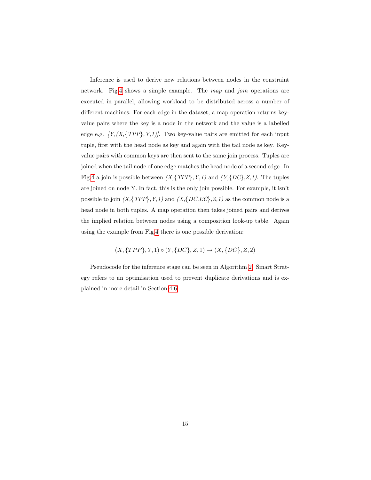Inference is used to derive new relations between nodes in the constraint network. Fig[.4](#page-13-1) shows a simple example. The map and join operations are executed in parallel, allowing workload to be distributed across a number of different machines. For each edge in the dataset, a map operation returns keyvalue pairs where the key is a node in the network and the value is a labelled edge e.g.  $[Y,(X,\{TPP\},Y,1)]$ . Two key-value pairs are emitted for each input tuple, first with the head node as key and again with the tail node as key. Keyvalue pairs with common keys are then sent to the same join process. Tuples are joined when the tail node of one edge matches the head node of a second edge. In Fig[.4](#page-13-1) a join is possible between  $(X, \{TPP\}, Y, 1)$  and  $(Y, \{DC\}, Z, 1)$ . The tuples are joined on node Y. In fact, this is the only join possible. For example, it isn't possible to join  $(X, \{TPP\}, Y, 1)$  and  $(X, \{DC, EC\}, Z, 1)$  as the common node is a head node in both tuples. A map operation then takes joined pairs and derives the implied relation between nodes using a composition look-up table. Again using the example from Fig[.4](#page-13-1) there is one possible derivation:

 $(X, {TPP}, Y, 1) \circ (Y, {DC}, Z, 1) \rightarrow (X, {DC}, Z, 2)$ 

Pseudocode for the inference stage can be seen in Algorithm [2.](#page-15-0) Smart Strategy refers to an optimisation used to prevent duplicate derivations and is explained in more detail in Section [4.6.](#page-19-0)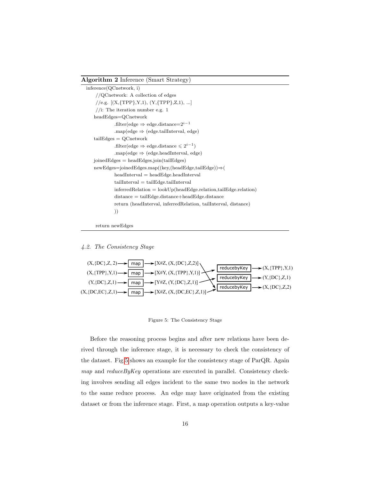#### Algorithm 2 Inference (Smart Strategy)

```
inference(QCnetwork, i)
 //QCnetwork: A collection of edges
 //e.g. [(X, {TPP}, Y, 1), (Y, {TPP}, Z, 1), ...]//i: The iteration number e.g. 1headEdges=QCnetwork
          .filter(edge \Rightarrow edge.distance=2^{i-1}.map(edge \Rightarrow (edge.tailInterval, edge)
tailEdges = QCnetwork
           .filter(edge \Rightarrow edge.distance \leq 2^{i-1})
           .map(edge ⇒ (edge.headInterval, edge)
joinedEdges = headEdges.join(tailEdges)newEdges=joinedEdges.map((key,(headEdge,tailEdge))⇒(
          \label{eq:head} \text{headInterval} = \text{headEdge}.\text{headInterval}tailInterval = tailEdge.tailIntervalinferredRelation = lookUp(headEdge:relation, tailEdge:relation)distance = tailEdge.distance+headEdge.distance
          return (headInterval, inferredRelation, tailInterval, distance)
          ))
```
return newEdges

## <span id="page-15-0"></span>4.2. The Consistency Stage



<span id="page-15-1"></span>Figure 5: The Consistency Stage

Before the reasoning process begins and after new relations have been derived through the inference stage, it is necessary to check the consistency of the dataset. Fig[.5](#page-15-1) shows an example for the consistency stage of ParQR. Again map and reduce By Key operations are executed in parallel. Consistency checking involves sending all edges incident to the same two nodes in the network to the same reduce process. An edge may have originated from the existing dataset or from the inference stage. First, a map operation outputs a key-value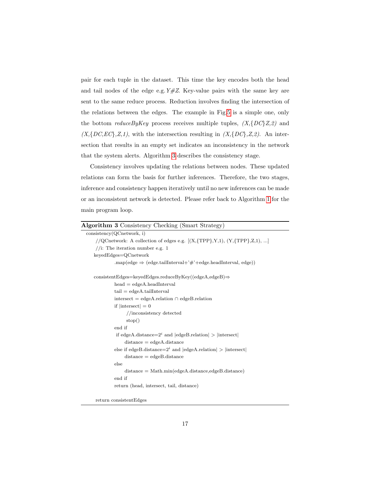pair for each tuple in the dataset. This time the key encodes both the head and tail nodes of the edge e.g.  $Y#Z$ . Key-value pairs with the same key are sent to the same reduce process. Reduction involves finding the intersection of the relations between the edges. The example in Fig[.5](#page-15-1) is a simple one, only the bottom *reduceByKey* process receives multiple tuples,  $(X, \{DC\}Z, 2)$  and  $(X, \{DC, EC\}, Z, 1)$ , with the intersection resulting in  $(X, \{DC\}, Z, 2)$ . An intersection that results in an empty set indicates an inconsistency in the network that the system alerts. Algorithm [3](#page-16-0) describes the consistency stage.

Consistency involves updating the relations between nodes. These updated relations can form the basis for further inferences. Therefore, the two stages, inference and consistency happen iteratively until no new inferences can be made or an inconsistent network is detected. Please refer back to Algorithm [1](#page-13-0) for the main program loop.

| <b>Algorithm 3</b> Consistency Checking (Smart Strategy)                         |
|----------------------------------------------------------------------------------|
| consistency(QContext, i)                                                         |
| //QCnetwork: A collection of edges e.g. $[(X, {TPP}, Y, 1), (Y, {TPP}, Z, 1), ]$ |
| //i: The iteration number e.g. 1                                                 |
| keyedEdges=QCnetwork                                                             |
| .map(edge $\Rightarrow$ (edge.tailInterval+'#'+edge.headInterval, edge))         |
| $\text{consistentEdges}$ =keyedEdges.reduceByKey((edgeA,edgeB) $\Rightarrow$     |
| $head = edgeA \n . headInterval$                                                 |
| $tail = edgeA.taillnterval$                                                      |
| intersect = edgeA.relation $\cap$ edgeB.relation                                 |
| if $ $ intersect $  = 0$                                                         |
| //inconsistency detected                                                         |
| stop()                                                                           |
| end if                                                                           |
| if edgeA.distance= $2^i$ and $ $ edgeB.relation $ $ > $ $ intersect $ $          |
| $distance = edgeA.distance$                                                      |
| else if edgeB.distance= $2^i$ and $ $ edgeA.relation $ $ > $ $ intersect $ $     |
| $distance = edgeB.distance$                                                      |
| else                                                                             |
| $distance = Math.min(edgeA.distance, edgeB.distance)$                            |
| end if                                                                           |
| return (head, intersect, tail, distance)                                         |
|                                                                                  |
|                                                                                  |

<span id="page-16-0"></span>return consistentEdges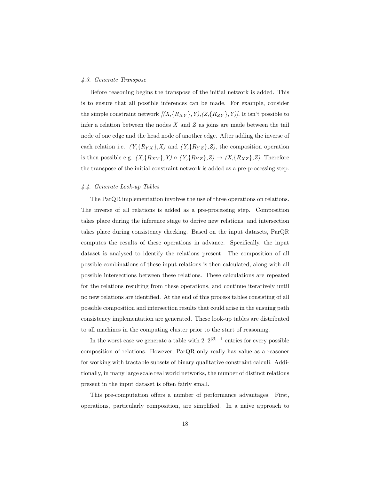### 4.3. Generate Transpose

Before reasoning begins the transpose of the initial network is added. This is to ensure that all possible inferences can be made. For example, consider the simple constraint network  $[(X, {R_{XY}}, Y), (Z, {R_{ZY}}, Y)]$ . It isn't possible to infer a relation between the nodes  $X$  and  $Z$  as joins are made between the tail node of one edge and the head node of another edge. After adding the inverse of each relation i.e.  $(Y, \{R_{YX}\}, X)$  and  $(Y, \{R_{YZ}\}, Z)$ , the composition operation is then possible e.g.  $(X, \{R_{XY}\}, Y) \circ (Y, \{R_{YZ}\}, Z) \rightarrow (X, \{R_{XZ}\}, Z)$ . Therefore the transpose of the initial constraint network is added as a pre-processing step.

## 4.4. Generate Look-up Tables

The ParQR implementation involves the use of three operations on relations. The inverse of all relations is added as a pre-processing step. Composition takes place during the inference stage to derive new relations, and intersection takes place during consistency checking. Based on the input datasets, ParQR computes the results of these operations in advance. Specifically, the input dataset is analysed to identify the relations present. The composition of all possible combinations of these input relations is then calculated, along with all possible intersections between these relations. These calculations are repeated for the relations resulting from these operations, and continue iteratively until no new relations are identified. At the end of this process tables consisting of all possible composition and intersection results that could arise in the ensuing path consistency implementation are generated. These look-up tables are distributed to all machines in the computing cluster prior to the start of reasoning.

In the worst case we generate a table with  $2 \cdot 2^{|\mathcal{B}|-1}$  entries for every possible composition of relations. However, ParQR only really has value as a reasoner for working with tractable subsets of binary qualitative constraint calculi. Additionally, in many large scale real world networks, the number of distinct relations present in the input dataset is often fairly small.

This pre-computation offers a number of performance advantages. First, operations, particularly composition, are simplified. In a naive approach to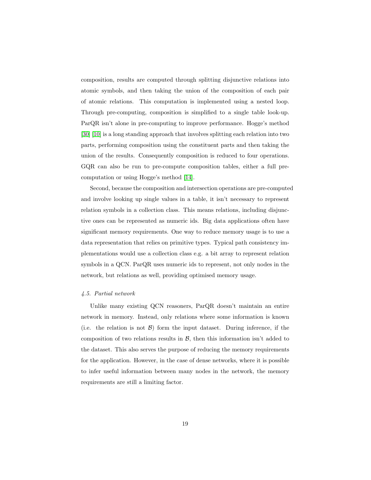composition, results are computed through splitting disjunctive relations into atomic symbols, and then taking the union of the composition of each pair of atomic relations. This computation is implemented using a nested loop. Through pre-computing, composition is simplified to a single table look-up. ParQR isn't alone in pre-computing to improve performance. Hogge's method [\[30\]](#page-38-3) [\[10\]](#page-35-4) is a long standing approach that involves splitting each relation into two parts, performing composition using the constituent parts and then taking the union of the results. Consequently composition is reduced to four operations. GQR can also be run to pre-compute composition tables, either a full precomputation or using Hogge's method [\[14\]](#page-36-0).

Second, because the composition and intersection operations are pre-computed and involve looking up single values in a table, it isn't necessary to represent relation symbols in a collection class. This means relations, including disjunctive ones can be represented as numeric ids. Big data applications often have significant memory requirements. One way to reduce memory usage is to use a data representation that relies on primitive types. Typical path consistency implementations would use a collection class e.g. a bit array to represent relation symbols in a QCN. ParQR uses numeric ids to represent, not only nodes in the network, but relations as well, providing optimised memory usage.

### 4.5. Partial network

Unlike many existing QCN reasoners, ParQR doesn't maintain an entire network in memory. Instead, only relations where some information is known (i.e. the relation is not  $\mathcal{B}$ ) form the input dataset. During inference, if the composition of two relations results in  $\mathcal{B}$ , then this information isn't added to the dataset. This also serves the purpose of reducing the memory requirements for the application. However, in the case of dense networks, where it is possible to infer useful information between many nodes in the network, the memory requirements are still a limiting factor.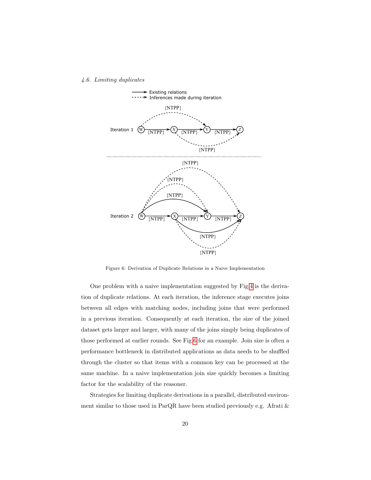#### <span id="page-19-0"></span>4.6. Limiting duplicates



<span id="page-19-1"></span>Figure 6: Derivation of Duplicate Relations in a Naive Implementation

One problem with a naive implementation suggested by Fig[.4](#page-13-1) is the derivation of duplicate relations. At each iteration, the inference stage executes joins between all edges with matching nodes, including joins that were performed in a previous iteration. Consequently at each iteration, the size of the joined dataset gets larger and larger, with many of the joins simply being duplicates of those performed at earlier rounds. See Fig[.6](#page-19-1) for an example. Join size is often a performance bottleneck in distributed applications as data needs to be shuffled through the cluster so that items with a common key can be processed at the same machine. In a naive implementation join size quickly becomes a limiting factor for the scalability of the reasoner.

Strategies for limiting duplicate derivations in a parallel, distributed environment similar to those used in ParQR have been studied previously e.g. Afrati &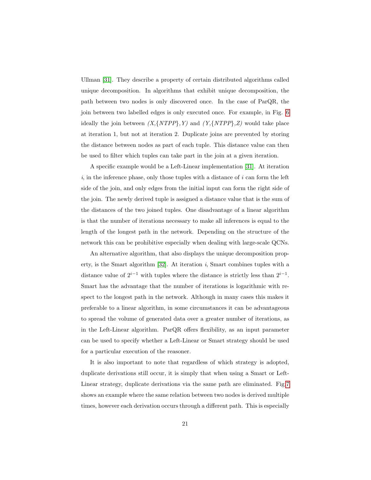Ullman [\[31\]](#page-38-4). They describe a property of certain distributed algorithms called unique decomposition. In algorithms that exhibit unique decomposition, the path between two nodes is only discovered once. In the case of ParQR, the join between two labelled edges is only executed once. For example, in Fig. [6](#page-19-1) ideally the join between  $(X, \{NTPP\}, Y)$  and  $(Y, \{NTPP\}, Z)$  would take place at iteration 1, but not at iteration 2. Duplicate joins are prevented by storing the distance between nodes as part of each tuple. This distance value can then be used to filter which tuples can take part in the join at a given iteration.

A specific example would be a Left-Linear implementation [\[31\]](#page-38-4). At iteration  $i$ , in the inference phase, only those tuples with a distance of  $i$  can form the left side of the join, and only edges from the initial input can form the right side of the join. The newly derived tuple is assigned a distance value that is the sum of the distances of the two joined tuples. One disadvantage of a linear algorithm is that the number of iterations necessary to make all inferences is equal to the length of the longest path in the network. Depending on the structure of the network this can be prohibitive especially when dealing with large-scale QCNs.

An alternative algorithm, that also displays the unique decomposition property, is the Smart algorithm  $[32]$ . At iteration i, Smart combines tuples with a distance value of  $2^{i-1}$  with tuples where the distance is strictly less than  $2^{i-1}$ . Smart has the advantage that the number of iterations is logarithmic with respect to the longest path in the network. Although in many cases this makes it preferable to a linear algorithm, in some circumstances it can be advantageous to spread the volume of generated data over a greater number of iterations, as in the Left-Linear algorithm. ParQR offers flexibility, as an input parameter can be used to specify whether a Left-Linear or Smart strategy should be used for a particular execution of the reasoner.

It is also important to note that regardless of which strategy is adopted, duplicate derivations still occur, it is simply that when using a Smart or Left-Linear strategy, duplicate derivations via the same path are eliminated. Fig[.7](#page-21-0) shows an example where the same relation between two nodes is derived multiple times, however each derivation occurs through a different path. This is especially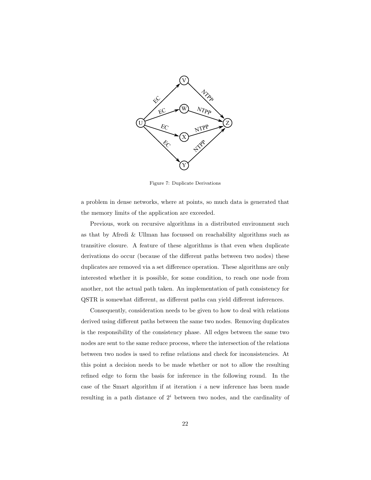

<span id="page-21-0"></span>Figure 7: Duplicate Derivations

a problem in dense networks, where at points, so much data is generated that the memory limits of the application are exceeded.

Previous, work on recursive algorithms in a distributed environment such as that by Afredi & Ullman has focussed on reachability algorithms such as transitive closure. A feature of these algorithms is that even when duplicate derivations do occur (because of the different paths between two nodes) these duplicates are removed via a set difference operation. These algorithms are only interested whether it is possible, for some condition, to reach one node from another, not the actual path taken. An implementation of path consistency for QSTR is somewhat different, as different paths can yield different inferences.

Consequently, consideration needs to be given to how to deal with relations derived using different paths between the same two nodes. Removing duplicates is the responsibility of the consistency phase. All edges between the same two nodes are sent to the same reduce process, where the intersection of the relations between two nodes is used to refine relations and check for inconsistencies. At this point a decision needs to be made whether or not to allow the resulting refined edge to form the basis for inference in the following round. In the case of the Smart algorithm if at iteration  $i$  a new inference has been made resulting in a path distance of  $2<sup>i</sup>$  between two nodes, and the cardinality of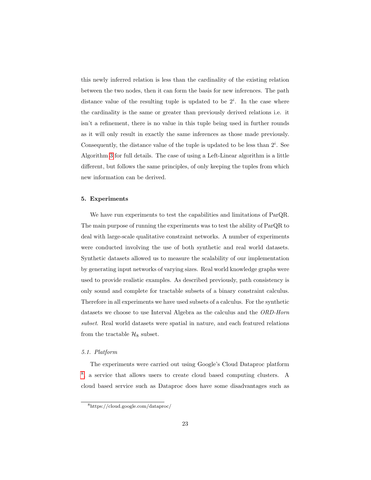this newly inferred relation is less than the cardinality of the existing relation between the two nodes, then it can form the basis for new inferences. The path distance value of the resulting tuple is updated to be  $2^i$ . In the case where the cardinality is the same or greater than previously derived relations i.e. it isn't a refinement, there is no value in this tuple being used in further rounds as it will only result in exactly the same inferences as those made previously. Consequently, the distance value of the tuple is updated to be less than  $2^i$ . See Algorithm [3](#page-16-0) for full details. The case of using a Left-Linear algorithm is a little different, but follows the same principles, of only keeping the tuples from which new information can be derived.

## 5. Experiments

We have run experiments to test the capabilities and limitations of ParQR. The main purpose of running the experiments was to test the ability of ParQR to deal with large-scale qualitative constraint networks. A number of experiments were conducted involving the use of both synthetic and real world datasets. Synthetic datasets allowed us to measure the scalability of our implementation by generating input networks of varying sizes. Real world knowledge graphs were used to provide realistic examples. As described previously, path consistency is only sound and complete for tractable subsets of a binary constraint calculus. Therefore in all experiments we have used subsets of a calculus. For the synthetic datasets we choose to use Interval Algebra as the calculus and the ORD-Horn subset. Real world datasets were spatial in nature, and each featured relations from the tractable  $\mathcal{H}_8$  subset.

## 5.1. Platform

The experiments were carried out using Google's Cloud Dataproc platform [8](#page-22-0) , a service that allows users to create cloud based computing clusters. A cloud based service such as Dataproc does have some disadvantages such as

<span id="page-22-0"></span><sup>8</sup>https://cloud.google.com/dataproc/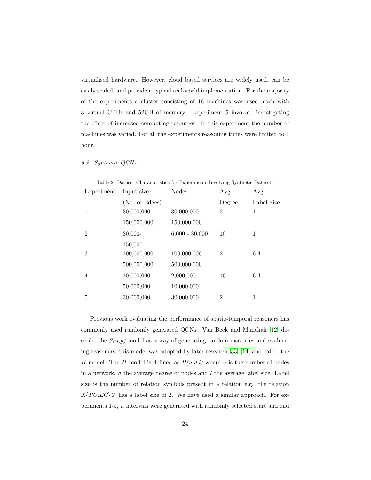virtualised hardware. However, cloud based services are widely used, can be easily scaled, and provide a typical real-world implementation. For the majority of the experiments a cluster consisting of 16 machines was used, each with 8 virtual CPUs and 52GB of memory. Experiment 5 involved investigating the effect of increased computing resources. In this experiment the number of machines was varied. For all the experiments reasoning times were limited to 1 hour.

#### 5.2. Synthetic QCNs

<span id="page-23-0"></span>

| Table 2: Dataset Characteristics for Experiments Involving Synthetic Datasets |                 |                  |                |            |  |
|-------------------------------------------------------------------------------|-----------------|------------------|----------------|------------|--|
| Experiment                                                                    | Input size      | <b>Nodes</b>     | Avg.           | Avg.       |  |
|                                                                               | (No. of Edges)  |                  | Degree         | Label Size |  |
|                                                                               | $30,000,000 -$  | $30,000,000 -$   | $\overline{2}$ | 1          |  |
|                                                                               | 150,000,000     | 150,000,000      |                |            |  |
| $\overline{2}$                                                                | $30,000-$       | $6,000 - 30,000$ | 10             | 1          |  |
|                                                                               | 150,000         |                  |                |            |  |
| 3                                                                             | $100,000,000$ - | $100,000,000$ -  | $\mathfrak{D}$ | 6.4        |  |
|                                                                               | 500,000,000     | 500,000,000      |                |            |  |
| 4                                                                             | $10,000,000 -$  | $2,000,000 -$    | 10             | 6.4        |  |
|                                                                               | 50,000,000      | 10,000,000       |                |            |  |
| 5                                                                             | 30,000,000      | 30,000,000       | $\overline{2}$ | 1          |  |

Table 2: Dataset Characteristics for Experiments Involving Synthetic Datasets

Previous work evaluating the performance of spatio-temporal reasoners has commonly used randomly generated QCNs. Van Beek and Manchak [\[12\]](#page-35-6) describe the  $S(n,p)$  model as a way of generating random instances and evaluating reasoners, this model was adopted by later research [\[33\]](#page-39-0) [\[14\]](#page-36-0) and called the H-model. The H-model is defined as  $H(n,d,l)$  where n is the number of nodes in a network,  $d$  the average degree of nodes and  $l$  the average label size. Label size is the number of relation symbols present in a relation e.g. the relation  $X\{PO,EC\}Y$  has a label size of 2. We have used a similar approach. For experiments 1-5, n intervals were generated with randomly selected start and end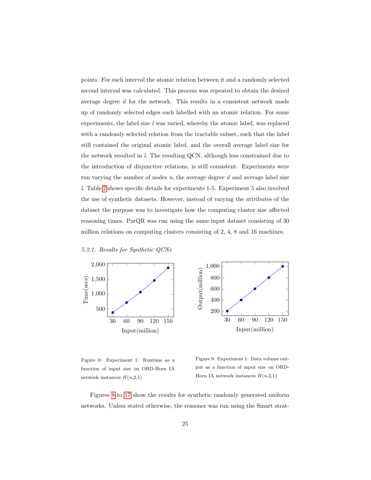points. For each interval the atomic relation between it and a randomly selected second interval was calculated. This process was repeated to obtain the desired average degree d for the network. This results in a consistent network made up of randomly selected edges each labelled with an atomic relation. For some experiments, the label size  $l$  was varied, whereby the atomic label, was replaced with a randomly selected relation from the tractable subset, such that the label still contained the original atomic label, and the overall average label size for the network resulted in l. The resulting QCN, although less constrained due to the introduction of disjunctive relations, is still consistent. Experiments were run varying the number of nodes  $n$ , the average degree  $d$  and average label size l. Table [2](#page-23-0) shows specific details for experiments 1-5. Experiment 5 also involved the use of synthetic datasets. However, instead of varying the attributes of the dataset the purpose was to investigate how the computing cluster size affected reasoning times. ParQR was run using the same input dataset consisting of 30 million relations on computing clusters consisting of 2, 4, 8 and 16 machines.





<span id="page-24-0"></span>Figure 8: Experiment 1: Runtime as a function of input size on ORD-Horn IA network instances  $H(n,2,1)$ 

<span id="page-24-1"></span>Figure 9: Experiment 1: Data volume output as a function of input size on ORD-Horn IA network instances  $H(n,2,1)$ 

Figures [8](#page-24-0) to [17](#page-26-0) show the results for synthetic randomly generated uniform networks. Unless stated otherwise, the reasoner was run using the Smart strat-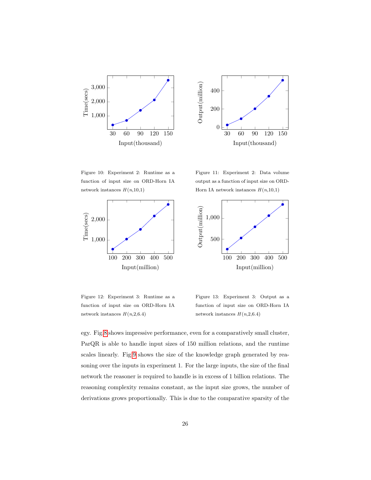



<span id="page-25-0"></span>Figure 10: Experiment 2: Runtime as a function of input size on ORD-Horn IA network instances  $H(n,10,1)$ 

<span id="page-25-1"></span>Figure 11: Experiment 2: Data volume output as a function of input size on ORD-Horn IA network instances  $H(n,10,1)$ 





Figure 12: Experiment 3: Runtime as a function of input size on ORD-Horn IA network instances  $H(n,2,6.4)$ 

Figure 13: Experiment 3: Output as a function of input size on ORD-Horn IA network instances  $H(n,2,6.4)$ 

egy. Fig[.8](#page-24-0) shows impressive performance, even for a comparatively small cluster, ParQR is able to handle input sizes of 150 million relations, and the runtime scales linearly. Fig[.9](#page-24-1) shows the size of the knowledge graph generated by reasoning over the inputs in experiment 1. For the large inputs, the size of the final network the reasoner is required to handle is in excess of 1 billion relations. The reasoning complexity remains constant, as the input size grows, the number of derivations grows proportionally. This is due to the comparative sparsity of the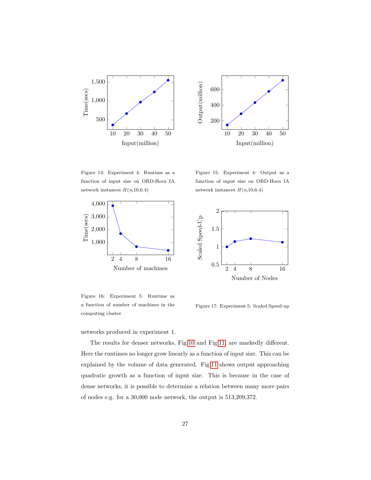



Figure 14: Experiment 4: Runtime as a function of input size on ORD-Horn IA network instances  $H(n,10,6.4)$ 



<span id="page-26-1"></span>Figure 16: Experiment 5: Runtime as a function of number of machines in the computing cluster

networks produced in experiment 1.

Figure 15: Experiment 4: Output as a function of input size on ORD-Horn IA network instances  $H(n,10,6.4)$ 



<span id="page-26-0"></span>Figure 17: Experiment 5: Scaled Speed-up

The results for denser networks, Fig[.10](#page-25-0) and Fig[.11,](#page-25-1) are markedly different. Here the runtimes no longer grow linearly as a function of input size. This can be explained by the volume of data generated. Fig[.11](#page-25-1) shows output approaching quadratic growth as a function of input size. This is because in the case of dense networks, it is possible to determine a relation between many more pairs of nodes e.g. for a 30,000 node network, the output is 513,209,372.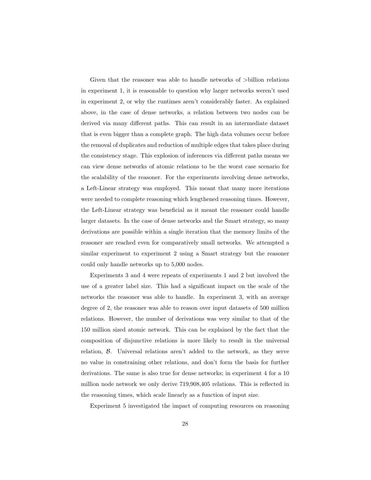Given that the reasoner was able to handle networks of >billion relations in experiment 1, it is reasonable to question why larger networks weren't used in experiment 2, or why the runtimes aren't considerably faster. As explained above, in the case of dense networks, a relation between two nodes can be derived via many different paths. This can result in an intermediate dataset that is even bigger than a complete graph. The high data volumes occur before the removal of duplicates and reduction of multiple edges that takes place during the consistency stage. This explosion of inferences via different paths means we can view dense networks of atomic relations to be the worst case scenario for the scalability of the reasoner. For the experiments involving dense networks, a Left-Linear strategy was employed. This meant that many more iterations were needed to complete reasoning which lengthened reasoning times. However, the Left-Linear strategy was beneficial as it meant the reasoner could handle larger datasets. In the case of dense networks and the Smart strategy, so many derivations are possible within a single iteration that the memory limits of the reasoner are reached even for comparatively small networks. We attempted a similar experiment to experiment 2 using a Smart strategy but the reasoner could only handle networks up to 5,000 nodes.

Experiments 3 and 4 were repeats of experiments 1 and 2 but involved the use of a greater label size. This had a significant impact on the scale of the networks the reasoner was able to handle. In experiment 3, with an average degree of 2, the reasoner was able to reason over input datasets of 500 million relations. However, the number of derivations was very similar to that of the 150 million sized atomic network. This can be explained by the fact that the composition of disjunctive relations is more likely to result in the universal relation, B. Universal relations aren't added to the network, as they serve no value in constraining other relations, and don't form the basis for further derivations. The same is also true for dense networks; in experiment 4 for a 10 million node network we only derive 719,908,405 relations. This is reflected in the reasoning times, which scale linearly as a function of input size.

Experiment 5 investigated the impact of computing resources on reasoning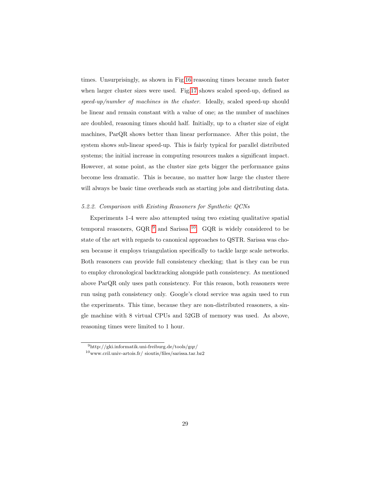times. Unsurprisingly, as shown in Fig[.16](#page-26-1) reasoning times became much faster when larger cluster sizes were used. Fig[.17](#page-26-0) shows scaled speed-up, defined as speed-up/number of machines in the cluster. Ideally, scaled speed-up should be linear and remain constant with a value of one; as the number of machines are doubled, reasoning times should half. Initially, up to a cluster size of eight machines, ParQR shows better than linear performance. After this point, the system shows sub-linear speed-up. This is fairly typical for parallel distributed systems; the initial increase in computing resources makes a significant impact. However, at some point, as the cluster size gets bigger the performance gains become less dramatic. This is because, no matter how large the cluster there will always be basic time overheads such as starting jobs and distributing data.

## 5.2.2. Comparison with Existing Reasoners for Synthetic QCNs

Experiments 1-4 were also attempted using two existing qualitative spatial temporal reasoners, GQR  $^9$  $^9$  and Sarissa  $^{10}$  $^{10}$  $^{10}$ . GQR is widely considered to be state of the art with regards to canonical approaches to QSTR. Sarissa was chosen because it employs triangulation specifically to tackle large scale networks. Both reasoners can provide full consistency checking; that is they can be run to employ chronological backtracking alongside path consistency. As mentioned above ParQR only uses path consistency. For this reason, both reasoners were run using path consistency only. Google's cloud service was again used to run the experiments. This time, because they are non-distributed reasoners, a single machine with 8 virtual CPUs and 52GB of memory was used. As above, reasoning times were limited to 1 hour.

<span id="page-28-1"></span><span id="page-28-0"></span> $^{9}$ http://gki.informatik.uni-freiburg.de/tools/gqr/

 $^{10}\rm{www.cril.univ-artois.fr/}$ sioutis/files/sarissa.tar.bz2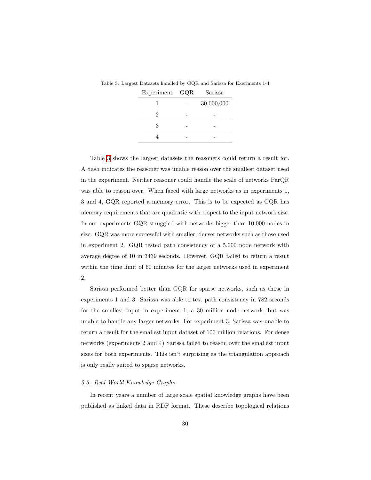| Experiment GQR | Sarissa    |
|----------------|------------|
|                | 30,000,000 |
|                |            |
| 3              |            |
|                |            |

<span id="page-29-0"></span>Table 3: Largest Datasets handled by GQR and Sarissa for Exeriments 1-4

Table [3](#page-29-0) shows the largest datasets the reasoners could return a result for. A dash indicates the reasoner was unable reason over the smallest dataset used in the experiment. Neither reasoner could handle the scale of networks ParQR was able to reason over. When faced with large networks as in experiments 1, 3 and 4, GQR reported a memory error. This is to be expected as GQR has memory requirements that are quadratic with respect to the input network size. In our experiments GQR struggled with networks bigger than 10,000 nodes in size. GQR was more successful with smaller, denser networks such as those used in experiment 2. GQR tested path consistency of a 5,000 node network with average degree of 10 in 3439 seconds. However, GQR failed to return a result within the time limit of 60 minutes for the larger networks used in experiment 2.

Sarissa performed better than GQR for sparse networks, such as those in experiments 1 and 3. Sarissa was able to test path consistency in 782 seconds for the smallest input in experiment 1, a 30 million node network, but was unable to handle any larger networks. For experiment 3, Sarissa was unable to return a result for the smallest input dataset of 100 million relations. For dense networks (experiments 2 and 4) Sarissa failed to reason over the smallest input sizes for both experiments. This isn't surprising as the triangulation approach is only really suited to sparse networks.

#### 5.3. Real World Knowledge Graphs

In recent years a number of large scale spatial knowledge graphs have been published as linked data in RDF format. These describe topological relations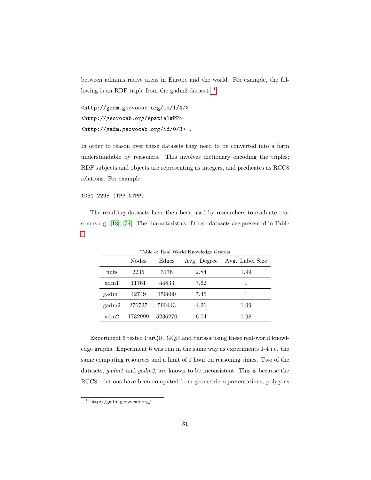between administrative areas in Europe and the world. For example, the following is an RDF triple from the gadm2 dataset  $11$ .

<http://gadm.geovocab.org/id/1/47> <http://geovocab.org/spatial#PP> <http://gadm.geovocab.org/id/0/3> .

In order to reason over these datasets they need to be converted into a form understandable by reasoners. This involves dictionary encoding the triples; RDF subjects and objects are representing as integers, and predicates as RCC8 relations. For example:

1031 2295 (TPP NTPP)

The resulting datasets have then been used by researchers to evaluate reasoners e.g. [\[18\]](#page-36-4), [\[34\]](#page-39-1). The characteristics of these datasets are presented in Table [4.](#page-30-1)

<span id="page-30-1"></span>

| Table 4: Real World Knowledge Graphs |         |         |             |                 |
|--------------------------------------|---------|---------|-------------|-----------------|
|                                      | Nodes   | Edges   | Avg. Degree | Avg. Label Size |
| nuts                                 | 2235    | 3176    | 2.84        | 1.99            |
| adm1                                 | 11761   | 44833   | 7.62        | 1               |
| gadm1                                | 42749   | 159600  | 7.46        |                 |
| gadm2                                | 276727  | 590443  | 4.26        | 1.99            |
| adm2                                 | 1732999 | 5236270 | 6.04        | 1.98            |

Experiment 6 tested ParQR, GQR and Sarissa using these real-world knowledge graphs. Experiment 6 was run in the same way as experiments 1-4 i.e. the same computing resources and a limit of 1 hour on reasoning times. Two of the datasets, gadm1 and gadm2, are known to be inconsistent. This is because the RCC8 relations have been computed from geometric representations, polygons

<span id="page-30-0"></span> $\overline{\phantom{a}^{11}\text{http://gadm.geovocab.org/}}$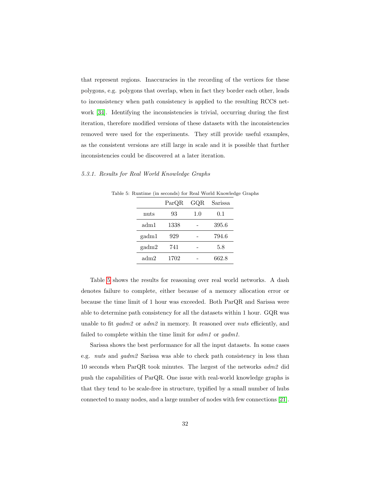that represent regions. Inaccuracies in the recording of the vertices for these polygons, e.g. polygons that overlap, when in fact they border each other, leads to inconsistency when path consistency is applied to the resulting RCC8 network [\[34\]](#page-39-1). Identifying the inconsistencies is trivial, occurring during the first iteration, therefore modified versions of these datasets with the inconsistencies removed were used for the experiments. They still provide useful examples, as the consistent versions are still large in scale and it is possible that further inconsistencies could be discovered at a later iteration.

#### <span id="page-31-0"></span>5.3.1. Results for Real World Knowledge Graphs

Table 5: Runtime (in seconds) for Real World Knowledge Graphs

|       | ParQR | $_{\rm GQR}$ | Sarissa |
|-------|-------|--------------|---------|
| nuts  | 93    | 1.0          | 0.1     |
| adm1  | 1338  |              | 395.6   |
| gadm1 | 929   |              | 794.6   |
| gadm2 | 741   |              | 5.8     |
| adm2  | 1702  |              | 662.8   |

Table [5](#page-31-0) shows the results for reasoning over real world networks. A dash denotes failure to complete, either because of a memory allocation error or because the time limit of 1 hour was exceeded. Both ParQR and Sarissa were able to determine path consistency for all the datasets within 1 hour. GQR was unable to fit gadm2 or adm2 in memory. It reasoned over nuts efficiently, and failed to complete within the time limit for  $\alpha dm1$  or  $\alpha\alpha dm1$ .

Sarissa shows the best performance for all the input datasets. In some cases e.g. nuts and gadm2 Sarissa was able to check path consistency in less than 10 seconds when ParQR took minutes. The largest of the networks adm2 did push the capabilities of ParQR. One issue with real-world knowledge graphs is that they tend to be scale-free in structure, typified by a small number of hubs connected to many nodes, and a large number of nodes with few connections [\[21\]](#page-37-1).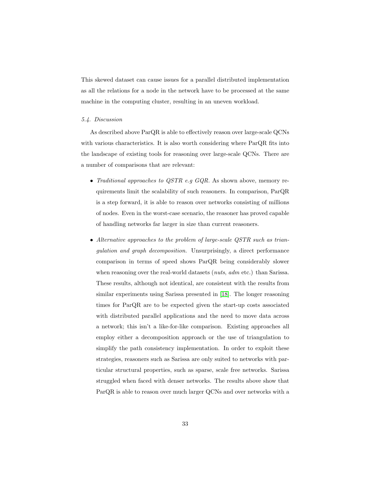This skewed dataset can cause issues for a parallel distributed implementation as all the relations for a node in the network have to be processed at the same machine in the computing cluster, resulting in an uneven workload.

## 5.4. Discussion

As described above ParQR is able to effectively reason over large-scale QCNs with various characteristics. It is also worth considering where ParQR fits into the landscape of existing tools for reasoning over large-scale QCNs. There are a number of comparisons that are relevant:

- Traditional approaches to  $QSTR$  e.g  $GQR$ . As shown above, memory requirements limit the scalability of such reasoners. In comparison, ParQR is a step forward, it is able to reason over networks consisting of millions of nodes. Even in the worst-case scenario, the reasoner has proved capable of handling networks far larger in size than current reasoners.
- Alternative approaches to the problem of large-scale QSTR such as triangulation and graph decomposition. Unsurprisingly, a direct performance comparison in terms of speed shows ParQR being considerably slower when reasoning over the real-world datasets (*nuts, adm* etc.) than Sarissa. These results, although not identical, are consistent with the results from similar experiments using Sarissa presented in [\[18\]](#page-36-4). The longer reasoning times for ParQR are to be expected given the start-up costs associated with distributed parallel applications and the need to move data across a network; this isn't a like-for-like comparison. Existing approaches all employ either a decomposition approach or the use of triangulation to simplify the path consistency implementation. In order to exploit these strategies, reasoners such as Sarissa are only suited to networks with particular structural properties, such as sparse, scale free networks. Sarissa struggled when faced with denser networks. The results above show that ParQR is able to reason over much larger QCNs and over networks with a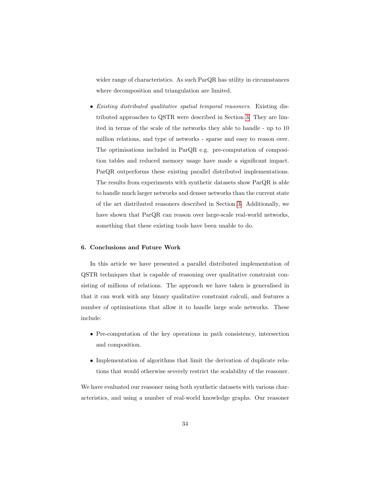wider range of characteristics. As such ParQR has utility in circumstances where decomposition and triangulation are limited.

• Existing distributed qualitative spatial temporal reasoners. Existing distributed approaches to QSTR were described in Section [3.](#page-8-0) They are limited in terms of the scale of the networks they able to handle - up to 10 million relations, and type of networks - sparse and easy to reason over. The optimisations included in ParQR e.g. pre-computation of composition tables and reduced memory usage have made a significant impact. ParQR outperforms these existing parallel distributed implementations. The results from experiments with synthetic datasets show ParQR is able to handle much larger networks and denser networks than the current state of the art distributed reasoners described in Section [3.](#page-8-0) Additionally, we have shown that ParQR can reason over large-scale real-world networks, something that these existing tools have been unable to do.

#### 6. Conclusions and Future Work

In this article we have presented a parallel distributed implementation of QSTR techniques that is capable of reasoning over qualitative constraint consisting of millions of relations. The approach we have taken is generalised in that it can work with any binary qualitative constraint calculi, and features a number of optimisations that allow it to handle large scale networks. These include:

- Pre-computation of the key operations in path consistency, intersection and composition.
- Implementation of algorithms that limit the derivation of duplicate relations that would otherwise severely restrict the scalability of the reasoner.

We have evaluated our reasoner using both synthetic datasets with various characteristics, and using a number of real-world knowledge graphs. Our reasoner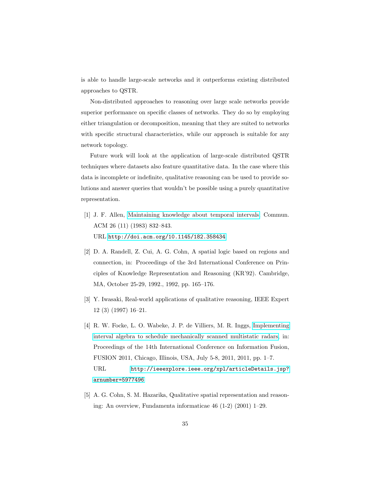is able to handle large-scale networks and it outperforms existing distributed approaches to QSTR.

Non-distributed approaches to reasoning over large scale networks provide superior performance on specific classes of networks. They do so by employing either triangulation or decomposition, meaning that they are suited to networks with specific structural characteristics, while our approach is suitable for any network topology.

Future work will look at the application of large-scale distributed QSTR techniques where datasets also feature quantitative data. In the case where this data is incomplete or indefinite, qualitative reasoning can be used to provide solutions and answer queries that wouldn't be possible using a purely quantitative representation.

- <span id="page-34-0"></span>[1] J. F. Allen, [Maintaining knowledge about temporal intervals,](http://doi.acm.org/10.1145/182.358434) Commun. ACM 26 (11) (1983) 832–843. URL <http://doi.acm.org/10.1145/182.358434>
- <span id="page-34-1"></span>[2] D. A. Randell, Z. Cui, A. G. Cohn, A spatial logic based on regions and connection, in: Proceedings of the 3rd International Conference on Principles of Knowledge Representation and Reasoning (KR'92). Cambridge, MA, October 25-29, 1992., 1992, pp. 165–176.
- <span id="page-34-2"></span>[3] Y. Iwasaki, Real-world applications of qualitative reasoning, IEEE Expert 12 (3) (1997) 16–21.
- <span id="page-34-3"></span>[4] R. W. Focke, L. O. Wabeke, J. P. de Villiers, M. R. Inggs, [Implementing](http://ieeexplore.ieee.org/xpl/articleDetails.jsp?arnumber=5977496) [interval algebra to schedule mechanically scanned multistatic radars,](http://ieeexplore.ieee.org/xpl/articleDetails.jsp?arnumber=5977496) in: Proceedings of the 14th International Conference on Information Fusion, FUSION 2011, Chicago, Illinois, USA, July 5-8, 2011, 2011, pp. 1–7. URL [http://ieeexplore.ieee.org/xpl/articleDetails.jsp?](http://ieeexplore.ieee.org/xpl/articleDetails.jsp?arnumber=5977496) [arnumber=5977496](http://ieeexplore.ieee.org/xpl/articleDetails.jsp?arnumber=5977496)
- <span id="page-34-4"></span>[5] A. G. Cohn, S. M. Hazarika, Qualitative spatial representation and reasoning: An overview, Fundamenta informaticae 46 (1-2) (2001) 1–29.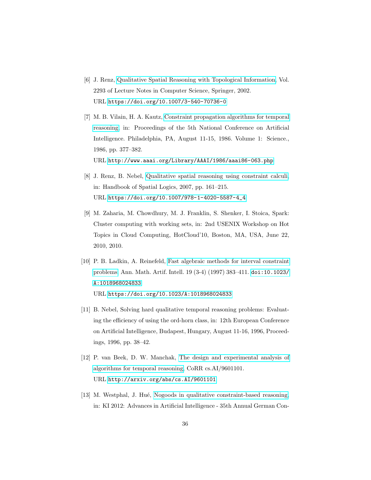- <span id="page-35-0"></span>[6] J. Renz, [Qualitative Spatial Reasoning with Topological Information,](https://doi.org/10.1007/3-540-70736-0) Vol. 2293 of Lecture Notes in Computer Science, Springer, 2002. URL <https://doi.org/10.1007/3-540-70736-0>
- <span id="page-35-1"></span>[7] M. B. Vilain, H. A. Kautz, [Constraint propagation algorithms for temporal](http://www.aaai.org/Library/AAAI/1986/aaai86-063.php) [reasoning,](http://www.aaai.org/Library/AAAI/1986/aaai86-063.php) in: Proceedings of the 5th National Conference on Artificial Intelligence. Philadelphia, PA, August 11-15, 1986. Volume 1: Science., 1986, pp. 377–382. URL <http://www.aaai.org/Library/AAAI/1986/aaai86-063.php>
- <span id="page-35-2"></span>[8] J. Renz, B. Nebel, [Qualitative spatial reasoning using constraint calculi,](https://doi.org/10.1007/978-1-4020-5587-4_4) in: Handbook of Spatial Logics, 2007, pp. 161–215. URL [https://doi.org/10.1007/978-1-4020-5587-4\\_4](https://doi.org/10.1007/978-1-4020-5587-4_4)
- <span id="page-35-3"></span>[9] M. Zaharia, M. Chowdhury, M. J. Franklin, S. Shenker, I. Stoica, Spark: Cluster computing with working sets, in: 2nd USENIX Workshop on Hot Topics in Cloud Computing, HotCloud'10, Boston, MA, USA, June 22, 2010, 2010.
- <span id="page-35-4"></span>[10] P. B. Ladkin, A. Reinefeld, [Fast algebraic methods for interval constraint](https://doi.org/10.1023/A:1018968024833) [problems,](https://doi.org/10.1023/A:1018968024833) Ann. Math. Artif. Intell. 19 (3-4) (1997) 383–411. [doi:10.1023/](http://dx.doi.org/10.1023/A:1018968024833) [A:1018968024833](http://dx.doi.org/10.1023/A:1018968024833). URL <https://doi.org/10.1023/A:1018968024833>
- <span id="page-35-5"></span>[11] B. Nebel, Solving hard qualitative temporal reasoning problems: Evaluating the efficiency of using the ord-horn class, in: 12th European Conference on Artificial Intelligence, Budapest, Hungary, August 11-16, 1996, Proceedings, 1996, pp. 38–42.
- <span id="page-35-6"></span>[12] P. van Beek, D. W. Manchak, [The design and experimental analysis of](http://arxiv.org/abs/cs.AI/9601101) [algorithms for temporal reasoning,](http://arxiv.org/abs/cs.AI/9601101) CoRR cs.AI/9601101. URL <http://arxiv.org/abs/cs.AI/9601101>
- <span id="page-35-7"></span>[13] M. Westphal, J. Hu´e, [Nogoods in qualitative constraint-based reasoning,](https://doi.org/10.1007/978-3-642-33347-7_16) in: KI 2012: Advances in Artificial Intelligence - 35th Annual German Con-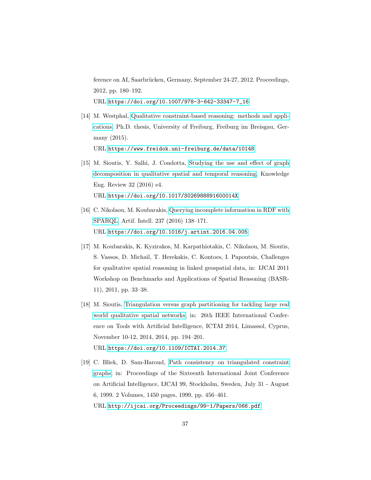ference on AI, Saarbrücken, Germany, September 24-27, 2012. Proceedings, 2012, pp. 180–192. URL [https://doi.org/10.1007/978-3-642-33347-7\\_16](https://doi.org/10.1007/978-3-642-33347-7_16)

- <span id="page-36-0"></span>[14] M. Westphal, [Qualitative constraint-based reasoning: methods and appli](https://www.freidok.uni-freiburg.de/data/10148)[cations,](https://www.freidok.uni-freiburg.de/data/10148) Ph.D. thesis, University of Freiburg, Freiburg im Breisgau, Germany (2015). URL <https://www.freidok.uni-freiburg.de/data/10148>
- <span id="page-36-1"></span>[15] M. Sioutis, Y. Salhi, J. Condotta, [Studying the use and effect of graph](https://doi.org/10.1017/S026988891600014X) [decomposition in qualitative spatial and temporal reasoning,](https://doi.org/10.1017/S026988891600014X) Knowledge Eng. Review 32 (2016) e4. URL <https://doi.org/10.1017/S026988891600014X>
- <span id="page-36-2"></span>[16] C. Nikolaou, M. Koubarakis, [Querying incomplete information in RDF with](https://doi.org/10.1016/j.artint.2016.04.005) [SPARQL,](https://doi.org/10.1016/j.artint.2016.04.005) Artif. Intell. 237 (2016) 138–171. URL <https://doi.org/10.1016/j.artint.2016.04.005>
- <span id="page-36-3"></span>[17] M. Koubarakis, K. Kyzirakos, M. Karpathiotakis, C. Nikolaou, M. Sioutis, S. Vassos, D. Michail, T. Herekakis, C. Kontoes, I. Papoutsis, Challenges for qualitative spatial reasoning in linked geospatial data, in: IJCAI 2011 Workshop on Benchmarks and Applications of Spatial Reasoning (BASR-11), 2011, pp. 33–38.
- <span id="page-36-4"></span>[18] M. Sioutis, [Triangulation versus graph partitioning for tackling large real](https://doi.org/10.1109/ICTAI.2014.37) [world qualitative spatial networks,](https://doi.org/10.1109/ICTAI.2014.37) in: 26th IEEE International Conference on Tools with Artificial Intelligence, ICTAI 2014, Limassol, Cyprus, November 10-12, 2014, 2014, pp. 194–201. URL <https://doi.org/10.1109/ICTAI.2014.37>
- <span id="page-36-5"></span>[19] C. Bliek, D. Sam-Haroud, [Path consistency on triangulated constraint](http://ijcai.org/Proceedings/99-1/Papers/066.pdf) [graphs,](http://ijcai.org/Proceedings/99-1/Papers/066.pdf) in: Proceedings of the Sixteenth International Joint Conference on Artificial Intelligence, IJCAI 99, Stockholm, Sweden, July 31 - August 6, 1999. 2 Volumes, 1450 pages, 1999, pp. 456–461. URL <http://ijcai.org/Proceedings/99-1/Papers/066.pdf>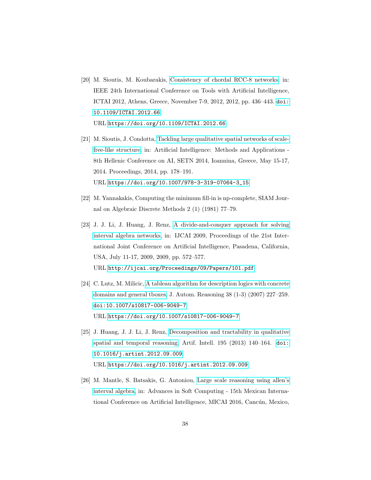- <span id="page-37-0"></span>[20] M. Sioutis, M. Koubarakis, [Consistency of chordal RCC-8 networks,](https://doi.org/10.1109/ICTAI.2012.66) in: IEEE 24th International Conference on Tools with Artificial Intelligence, ICTAI 2012, Athens, Greece, November 7-9, 2012, 2012, pp. 436–443. [doi:](http://dx.doi.org/10.1109/ICTAI.2012.66) [10.1109/ICTAI.2012.66](http://dx.doi.org/10.1109/ICTAI.2012.66). URL <https://doi.org/10.1109/ICTAI.2012.66>
- <span id="page-37-1"></span>[21] M. Sioutis, J. Condotta, [Tackling large qualitative spatial networks of scale](https://doi.org/10.1007/978-3-319-07064-3_15)[free-like structure,](https://doi.org/10.1007/978-3-319-07064-3_15) in: Artificial Intelligence: Methods and Applications - 8th Hellenic Conference on AI, SETN 2014, Ioannina, Greece, May 15-17, 2014. Proceedings, 2014, pp. 178–191. URL [https://doi.org/10.1007/978-3-319-07064-3\\_15](https://doi.org/10.1007/978-3-319-07064-3_15)
- <span id="page-37-2"></span>[22] M. Yannakakis, Computing the minimum fill-in is np-complete, SIAM Journal on Algebraic Discrete Methods 2 (1) (1981) 77–79.
- <span id="page-37-3"></span>[23] J. J. Li, J. Huang, J. Renz, [A divide-and-conquer approach for solving](http://ijcai.org/Proceedings/09/Papers/101.pdf) [interval algebra networks,](http://ijcai.org/Proceedings/09/Papers/101.pdf) in: IJCAI 2009, Proceedings of the 21st International Joint Conference on Artificial Intelligence, Pasadena, California, USA, July 11-17, 2009, 2009, pp. 572–577. URL <http://ijcai.org/Proceedings/09/Papers/101.pdf>
- <span id="page-37-4"></span>[24] C. Lutz, M. Milicic, [A tableau algorithm for description logics with concrete](https://doi.org/10.1007/s10817-006-9049-7) [domains and general tboxes,](https://doi.org/10.1007/s10817-006-9049-7) J. Autom. Reasoning 38 (1-3) (2007) 227–259. [doi:10.1007/s10817-006-9049-7](http://dx.doi.org/10.1007/s10817-006-9049-7). URL <https://doi.org/10.1007/s10817-006-9049-7>
- <span id="page-37-5"></span>[25] J. Huang, J. J. Li, J. Renz, [Decomposition and tractability in qualitative](https://doi.org/10.1016/j.artint.2012.09.009) [spatial and temporal reasoning,](https://doi.org/10.1016/j.artint.2012.09.009) Artif. Intell. 195 (2013) 140–164. [doi:](http://dx.doi.org/10.1016/j.artint.2012.09.009) [10.1016/j.artint.2012.09.009](http://dx.doi.org/10.1016/j.artint.2012.09.009). URL <https://doi.org/10.1016/j.artint.2012.09.009>
- <span id="page-37-6"></span>[26] M. Mantle, S. Batsakis, G. Antoniou, [Large scale reasoning using allen's](https://doi.org/10.1007/978-3-319-62428-0_3) [interval algebra,](https://doi.org/10.1007/978-3-319-62428-0_3) in: Advances in Soft Computing - 15th Mexican International Conference on Artificial Intelligence, MICAI 2016, Cancún, Mexico,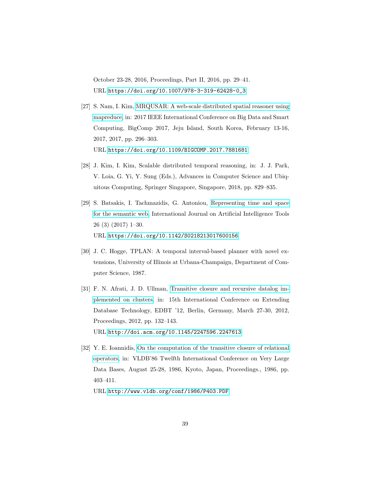October 23-28, 2016, Proceedings, Part II, 2016, pp. 29–41. URL [https://doi.org/10.1007/978-3-319-62428-0\\_3](https://doi.org/10.1007/978-3-319-62428-0_3)

- <span id="page-38-0"></span>[27] S. Nam, I. Kim, [MRQUSAR: A web-scale distributed spatial reasoner using](https://doi.org/10.1109/BIGCOMP.2017.7881681) [mapreduce,](https://doi.org/10.1109/BIGCOMP.2017.7881681) in: 2017 IEEE International Conference on Big Data and Smart Computing, BigComp 2017, Jeju Island, South Korea, February 13-16, 2017, 2017, pp. 296–303. URL <https://doi.org/10.1109/BIGCOMP.2017.7881681>
- <span id="page-38-1"></span>[28] J. Kim, I. Kim, Scalable distributed temporal reasoning, in: J. J. Park, V. Loia, G. Yi, Y. Sung (Eds.), Advances in Computer Science and Ubiquitous Computing, Springer Singapore, Singapore, 2018, pp. 829–835.
- <span id="page-38-2"></span>[29] S. Batsakis, I. Tachmazidis, G. Antoniou, [Representing time and space](https://doi.org/10.1142/S0218213017600156) [for the semantic web,](https://doi.org/10.1142/S0218213017600156) International Journal on Artificial Intelligence Tools 26 (3) (2017) 1–30. URL <https://doi.org/10.1142/S0218213017600156>
- <span id="page-38-3"></span>[30] J. C. Hogge, TPLAN: A temporal interval-based planner with novel extensions, University of Illinois at Urbana-Champaign, Department of Computer Science, 1987.
- <span id="page-38-4"></span>[31] F. N. Afrati, J. D. Ullman, [Transitive closure and recursive datalog im](http://doi.acm.org/10.1145/2247596.2247613)[plemented on clusters,](http://doi.acm.org/10.1145/2247596.2247613) in: 15th International Conference on Extending Database Technology, EDBT '12, Berlin, Germany, March 27-30, 2012, Proceedings, 2012, pp. 132–143. URL <http://doi.acm.org/10.1145/2247596.2247613>
- <span id="page-38-5"></span>[32] Y. E. Ioannidis, [On the computation of the transitive closure of relational](http://www.vldb.org/conf/1986/P403.PDF) [operators,](http://www.vldb.org/conf/1986/P403.PDF) in: VLDB'86 Twelfth International Conference on Very Large Data Bases, August 25-28, 1986, Kyoto, Japan, Proceedings., 1986, pp. 403–411.

URL <http://www.vldb.org/conf/1986/P403.PDF>